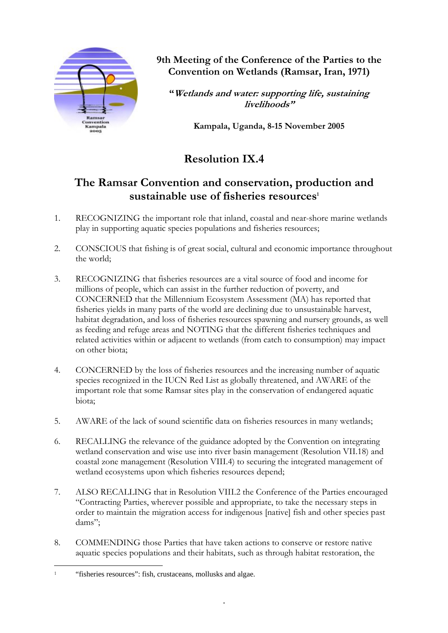

**9th Meeting of the Conference of the Parties to the Convention on Wetlands (Ramsar, Iran, 1971)** 

**"Wetlands and water: supporting life, sustaining livelihoods"** 

**Kampala, Uganda, 8-15 November 2005** 

# **Resolution IX.4**

## **The Ramsar Convention and conservation, production and sustainable use of fisheries resources1**

- 1. RECOGNIZING the important role that inland, coastal and near-shore marine wetlands play in supporting aquatic species populations and fisheries resources;
- 2. CONSCIOUS that fishing is of great social, cultural and economic importance throughout the world;
- 3. RECOGNIZING that fisheries resources are a vital source of food and income for millions of people, which can assist in the further reduction of poverty, and CONCERNED that the Millennium Ecosystem Assessment (MA) has reported that fisheries yields in many parts of the world are declining due to unsustainable harvest, habitat degradation, and loss of fisheries resources spawning and nursery grounds, as well as feeding and refuge areas and NOTING that the different fisheries techniques and related activities within or adjacent to wetlands (from catch to consumption) may impact on other biota;
- 4. CONCERNED by the loss of fisheries resources and the increasing number of aquatic species recognized in the IUCN Red List as globally threatened, and AWARE of the important role that some Ramsar sites play in the conservation of endangered aquatic biota;
- 5. AWARE of the lack of sound scientific data on fisheries resources in many wetlands;
- 6. RECALLING the relevance of the guidance adopted by the Convention on integrating wetland conservation and wise use into river basin management (Resolution VII.18) and coastal zone management (Resolution VIII.4) to securing the integrated management of wetland ecosystems upon which fisheries resources depend;
- 7. ALSO RECALLING that in Resolution VIII.2 the Conference of the Parties encouraged "Contracting Parties, wherever possible and appropriate, to take the necessary steps in order to maintain the migration access for indigenous [native] fish and other species past dams";
- 8. COMMENDING those Parties that have taken actions to conserve or restore native aquatic species populations and their habitats, such as through habitat restoration, the

 $\overline{a}$ "fisheries resources": fish, crustaceans, mollusks and algae.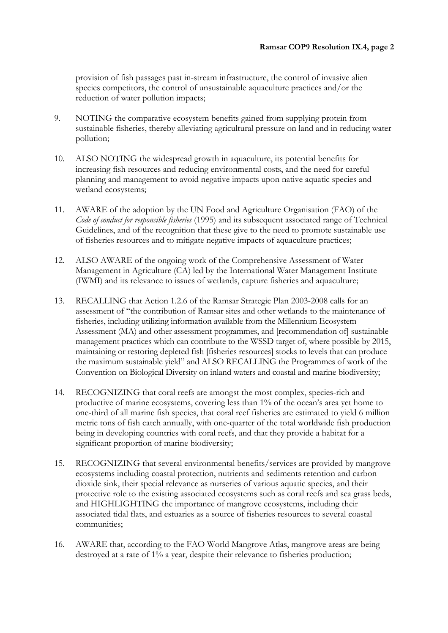provision of fish passages past in-stream infrastructure, the control of invasive alien species competitors, the control of unsustainable aquaculture practices and/or the reduction of water pollution impacts;

- 9. NOTING the comparative ecosystem benefits gained from supplying protein from sustainable fisheries, thereby alleviating agricultural pressure on land and in reducing water pollution;
- 10. ALSO NOTING the widespread growth in aquaculture, its potential benefits for increasing fish resources and reducing environmental costs, and the need for careful planning and management to avoid negative impacts upon native aquatic species and wetland ecosystems;
- 11. AWARE of the adoption by the UN Food and Agriculture Organisation (FAO) of the *Code of conduct for responsible fisheries* (1995) and its subsequent associated range of Technical Guidelines, and of the recognition that these give to the need to promote sustainable use of fisheries resources and to mitigate negative impacts of aquaculture practices;
- 12. ALSO AWARE of the ongoing work of the Comprehensive Assessment of Water Management in Agriculture (CA) led by the International Water Management Institute (IWMI) and its relevance to issues of wetlands, capture fisheries and aquaculture;
- 13. RECALLING that Action 1.2.6 of the Ramsar Strategic Plan 2003-2008 calls for an assessment of "the contribution of Ramsar sites and other wetlands to the maintenance of fisheries, including utilizing information available from the Millennium Ecosystem Assessment (MA) and other assessment programmes, and [recommendation of] sustainable management practices which can contribute to the WSSD target of, where possible by 2015, maintaining or restoring depleted fish [fisheries resources] stocks to levels that can produce the maximum sustainable yield" and ALSO RECALLING the Programmes of work of the Convention on Biological Diversity on inland waters and coastal and marine biodiversity;
- 14. RECOGNIZING that coral reefs are amongst the most complex, species-rich and productive of marine ecosystems, covering less than 1% of the ocean's area yet home to one-third of all marine fish species, that coral reef fisheries are estimated to yield 6 million metric tons of fish catch annually, with one-quarter of the total worldwide fish production being in developing countries with coral reefs, and that they provide a habitat for a significant proportion of marine biodiversity;
- 15. RECOGNIZING that several environmental benefits/services are provided by mangrove ecosystems including coastal protection, nutrients and sediments retention and carbon dioxide sink, their special relevance as nurseries of various aquatic species, and their protective role to the existing associated ecosystems such as coral reefs and sea grass beds, and HIGHLIGHTING the importance of mangrove ecosystems, including their associated tidal flats, and estuaries as a source of fisheries resources to several coastal communities;
- 16. AWARE that, according to the FAO World Mangrove Atlas, mangrove areas are being destroyed at a rate of 1% a year, despite their relevance to fisheries production;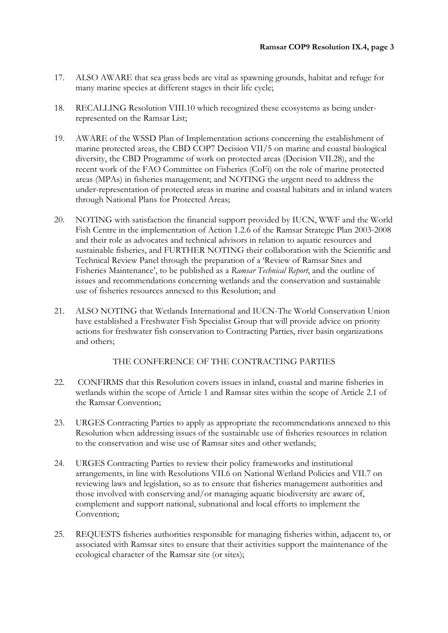- 17. ALSO AWARE that sea grass beds are vital as spawning grounds, habitat and refuge for many marine species at different stages in their life cycle;
- 18. RECALLING Resolution VIII.10 which recognized these ecosystems as being underrepresented on the Ramsar List;
- 19. AWARE of the WSSD Plan of Implementation actions concerning the establishment of marine protected areas, the CBD COP7 Decision VII/5 on marine and coastal biological diversity, the CBD Programme of work on protected areas (Decision VII.28), and the recent work of the FAO Committee on Fisheries (CoFi) on the role of marine protected areas (MPAs) in fisheries management; and NOTING the urgent need to address the under-representation of protected areas in marine and coastal habitats and in inland waters through National Plans for Protected Areas;
- 20. NOTING with satisfaction the financial support provided by IUCN, WWF and the World Fish Centre in the implementation of Action 1.2.6 of the Ramsar Strategic Plan 2003-2008 and their role as advocates and technical advisors in relation to aquatic resources and sustainable fisheries, and FURTHER NOTING their collaboration with the Scientific and Technical Review Panel through the preparation of a 'Review of Ramsar Sites and Fisheries Maintenance', to be published as a *Ramsar Technical Report*, and the outline of issues and recommendations concerning wetlands and the conservation and sustainable use of fisheries resources annexed to this Resolution; and
- 21. ALSO NOTING that Wetlands International and IUCN-The World Conservation Union have established a Freshwater Fish Specialist Group that will provide advice on priority actions for freshwater fish conservation to Contracting Parties, river basin organizations and others;

## THE CONFERENCE OF THE CONTRACTING PARTIES

- 22. CONFIRMS that this Resolution covers issues in inland, coastal and marine fisheries in wetlands within the scope of Article 1 and Ramsar sites within the scope of Article 2.1 of the Ramsar Convention;
- 23. URGES Contracting Parties to apply as appropriate the recommendations annexed to this Resolution when addressing issues of the sustainable use of fisheries resources in relation to the conservation and wise use of Ramsar sites and other wetlands;
- 24. URGES Contracting Parties to review their policy frameworks and institutional arrangements, in line with Resolutions VII.6 on National Wetland Policies and VII.7 on reviewing laws and legislation, so as to ensure that fisheries management authorities and those involved with conserving and/or managing aquatic biodiversity are aware of, complement and support national, subnational and local efforts to implement the Convention;
- 25. REQUESTS fisheries authorities responsible for managing fisheries within, adjacent to, or associated with Ramsar sites to ensure that their activities support the maintenance of the ecological character of the Ramsar site (or sites);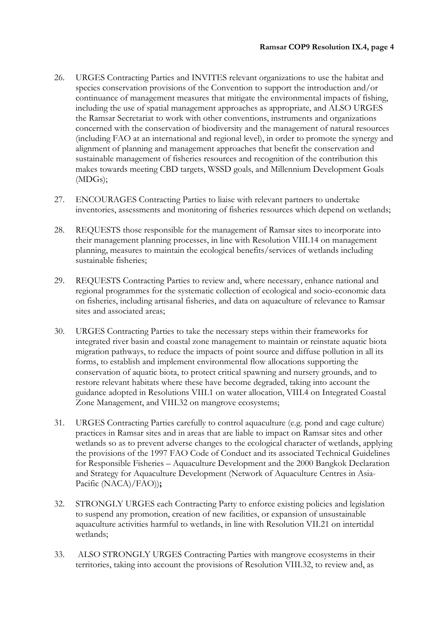- 26. URGES Contracting Parties and INVITES relevant organizations to use the habitat and species conservation provisions of the Convention to support the introduction and/or continuance of management measures that mitigate the environmental impacts of fishing, including the use of spatial management approaches as appropriate, and ALSO URGES the Ramsar Secretariat to work with other conventions, instruments and organizations concerned with the conservation of biodiversity and the management of natural resources (including FAO at an international and regional level), in order to promote the synergy and alignment of planning and management approaches that benefit the conservation and sustainable management of fisheries resources and recognition of the contribution this makes towards meeting CBD targets, WSSD goals, and Millennium Development Goals (MDGs);
- 27. ENCOURAGES Contracting Parties to liaise with relevant partners to undertake inventories, assessments and monitoring of fisheries resources which depend on wetlands;
- 28. REQUESTS those responsible for the management of Ramsar sites to incorporate into their management planning processes, in line with Resolution VIII.14 on management planning, measures to maintain the ecological benefits/services of wetlands including sustainable fisheries;
- 29. REQUESTS Contracting Parties to review and, where necessary, enhance national and regional programmes for the systematic collection of ecological and socio-economic data on fisheries, including artisanal fisheries, and data on aquaculture of relevance to Ramsar sites and associated areas;
- 30. URGES Contracting Parties to take the necessary steps within their frameworks for integrated river basin and coastal zone management to maintain or reinstate aquatic biota migration pathways, to reduce the impacts of point source and diffuse pollution in all its forms, to establish and implement environmental flow allocations supporting the conservation of aquatic biota, to protect critical spawning and nursery grounds, and to restore relevant habitats where these have become degraded, taking into account the guidance adopted in Resolutions VIII.1 on water allocation, VIII.4 on Integrated Coastal Zone Management, and VIII.32 on mangrove ecosystems;
- 31. URGES Contracting Parties carefully to control aquaculture (e.g. pond and cage culture) practices in Ramsar sites and in areas that are liable to impact on Ramsar sites and other wetlands so as to prevent adverse changes to the ecological character of wetlands, applying the provisions of the 1997 FAO Code of Conduct and its associated Technical Guidelines for Responsible Fisheries – Aquaculture Development and the 2000 Bangkok Declaration and Strategy for Aquaculture Development (Network of Aquaculture Centres in Asia-Pacific (NACA)/FAO))**;**
- 32. STRONGLY URGES each Contracting Party to enforce existing policies and legislation to suspend any promotion, creation of new facilities, or expansion of unsustainable aquaculture activities harmful to wetlands, in line with Resolution VII.21 on intertidal wetlands;
- 33. ALSO STRONGLY URGES Contracting Parties with mangrove ecosystems in their territories, taking into account the provisions of Resolution VIII.32, to review and, as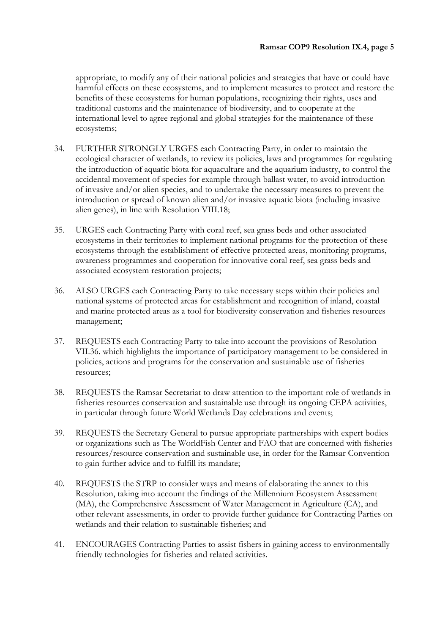appropriate, to modify any of their national policies and strategies that have or could have harmful effects on these ecosystems, and to implement measures to protect and restore the benefits of these ecosystems for human populations, recognizing their rights, uses and traditional customs and the maintenance of biodiversity, and to cooperate at the international level to agree regional and global strategies for the maintenance of these ecosystems;

- 34. FURTHER STRONGLY URGES each Contracting Party, in order to maintain the ecological character of wetlands, to review its policies, laws and programmes for regulating the introduction of aquatic biota for aquaculture and the aquarium industry, to control the accidental movement of species for example through ballast water, to avoid introduction of invasive and/or alien species, and to undertake the necessary measures to prevent the introduction or spread of known alien and/or invasive aquatic biota (including invasive alien genes), in line with Resolution VIII.18;
- 35. URGES each Contracting Party with coral reef, sea grass beds and other associated ecosystems in their territories to implement national programs for the protection of these ecosystems through the establishment of effective protected areas, monitoring programs, awareness programmes and cooperation for innovative coral reef, sea grass beds and associated ecosystem restoration projects;
- 36. ALSO URGES each Contracting Party to take necessary steps within their policies and national systems of protected areas for establishment and recognition of inland, coastal and marine protected areas as a tool for biodiversity conservation and fisheries resources management;
- 37. REQUESTS each Contracting Party to take into account the provisions of Resolution VII.36. which highlights the importance of participatory management to be considered in policies, actions and programs for the conservation and sustainable use of fisheries resources;
- 38. REQUESTS the Ramsar Secretariat to draw attention to the important role of wetlands in fisheries resources conservation and sustainable use through its ongoing CEPA activities, in particular through future World Wetlands Day celebrations and events;
- 39. REQUESTS the Secretary General to pursue appropriate partnerships with expert bodies or organizations such as The WorldFish Center and FAO that are concerned with fisheries resources/resource conservation and sustainable use, in order for the Ramsar Convention to gain further advice and to fulfill its mandate;
- 40. REQUESTS the STRP to consider ways and means of elaborating the annex to this Resolution, taking into account the findings of the Millennium Ecosystem Assessment (MA), the Comprehensive Assessment of Water Management in Agriculture (CA), and other relevant assessments, in order to provide further guidance for Contracting Parties on wetlands and their relation to sustainable fisheries; and
- 41. ENCOURAGES Contracting Parties to assist fishers in gaining access to environmentally friendly technologies for fisheries and related activities.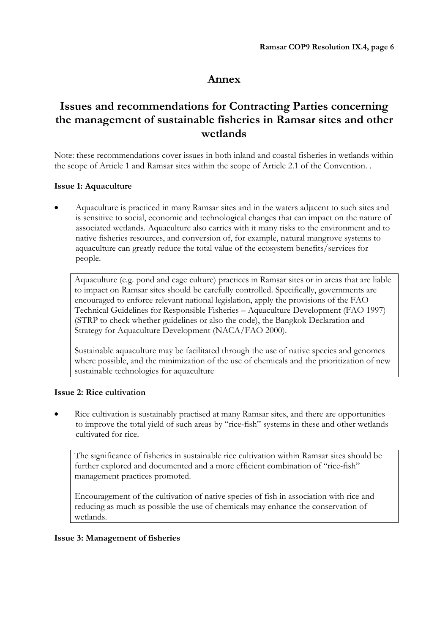## **Annex**

## **Issues and recommendations for Contracting Parties concerning the management of sustainable fisheries in Ramsar sites and other wetlands**

Note: these recommendations cover issues in both inland and coastal fisheries in wetlands within the scope of Article 1 and Ramsar sites within the scope of Article 2.1 of the Convention. .

## **Issue 1: Aquaculture**

• Aquaculture is practiced in many Ramsar sites and in the waters adjacent to such sites and is sensitive to social, economic and technological changes that can impact on the nature of associated wetlands. Aquaculture also carries with it many risks to the environment and to native fisheries resources, and conversion of, for example, natural mangrove systems to aquaculture can greatly reduce the total value of the ecosystem benefits/services for people.

Aquaculture (e.g. pond and cage culture) practices in Ramsar sites or in areas that are liable to impact on Ramsar sites should be carefully controlled. Specifically, governments are encouraged to enforce relevant national legislation, apply the provisions of the FAO Technical Guidelines for Responsible Fisheries – Aquaculture Development (FAO 1997) (STRP to check whether guidelines or also the code), the Bangkok Declaration and Strategy for Aquaculture Development (NACA/FAO 2000).

Sustainable aquaculture may be facilitated through the use of native species and genomes where possible, and the minimization of the use of chemicals and the prioritization of new sustainable technologies for aquaculture

## **Issue 2: Rice cultivation**

• Rice cultivation is sustainably practised at many Ramsar sites, and there are opportunities to improve the total yield of such areas by "rice-fish" systems in these and other wetlands cultivated for rice.

The significance of fisheries in sustainable rice cultivation within Ramsar sites should be further explored and documented and a more efficient combination of "rice-fish" management practices promoted.

Encouragement of the cultivation of native species of fish in association with rice and reducing as much as possible the use of chemicals may enhance the conservation of wetlands.

## **Issue 3: Management of fisheries**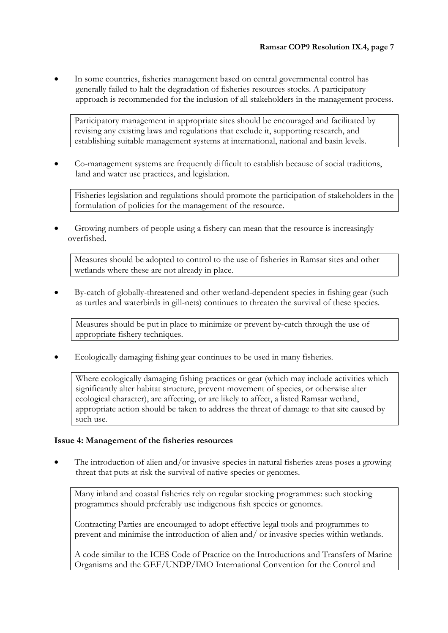• In some countries, fisheries management based on central governmental control has generally failed to halt the degradation of fisheries resources stocks. A participatory approach is recommended for the inclusion of all stakeholders in the management process.

Participatory management in appropriate sites should be encouraged and facilitated by revising any existing laws and regulations that exclude it, supporting research, and establishing suitable management systems at international, national and basin levels.

• Co-management systems are frequently difficult to establish because of social traditions, land and water use practices, and legislation.

Fisheries legislation and regulations should promote the participation of stakeholders in the formulation of policies for the management of the resource.

• Growing numbers of people using a fishery can mean that the resource is increasingly overfished.

Measures should be adopted to control to the use of fisheries in Ramsar sites and other wetlands where these are not already in place.

• By-catch of globally-threatened and other wetland-dependent species in fishing gear (such as turtles and waterbirds in gill-nets) continues to threaten the survival of these species.

Measures should be put in place to minimize or prevent by-catch through the use of appropriate fishery techniques.

• Ecologically damaging fishing gear continues to be used in many fisheries.

Where ecologically damaging fishing practices or gear (which may include activities which significantly alter habitat structure, prevent movement of species, or otherwise alter ecological character), are affecting, or are likely to affect, a listed Ramsar wetland, appropriate action should be taken to address the threat of damage to that site caused by such use.

#### **Issue 4: Management of the fisheries resources**

• The introduction of alien and/or invasive species in natural fisheries areas poses a growing threat that puts at risk the survival of native species or genomes.

Many inland and coastal fisheries rely on regular stocking programmes: such stocking programmes should preferably use indigenous fish species or genomes.

Contracting Parties are encouraged to adopt effective legal tools and programmes to prevent and minimise the introduction of alien and/ or invasive species within wetlands.

A code similar to the ICES Code of Practice on the Introductions and Transfers of Marine Organisms and the GEF/UNDP/IMO International Convention for the Control and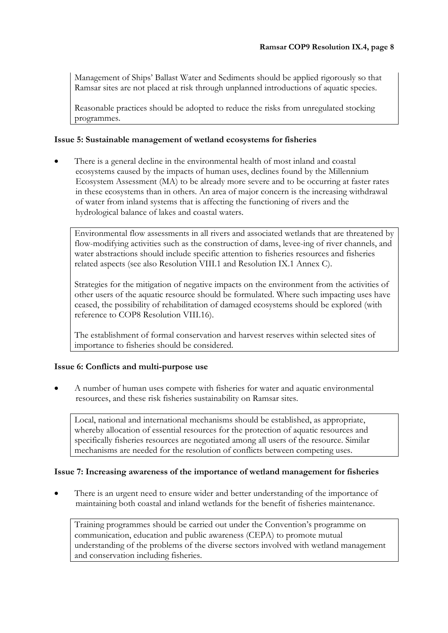Management of Ships' Ballast Water and Sediments should be applied rigorously so that Ramsar sites are not placed at risk through unplanned introductions of aquatic species.

Reasonable practices should be adopted to reduce the risks from unregulated stocking programmes.

## **Issue 5: Sustainable management of wetland ecosystems for fisheries**

• There is a general decline in the environmental health of most inland and coastal ecosystems caused by the impacts of human uses, declines found by the Millennium Ecosystem Assessment (MA) to be already more severe and to be occurring at faster rates in these ecosystems than in others. An area of major concern is the increasing withdrawal of water from inland systems that is affecting the functioning of rivers and the hydrological balance of lakes and coastal waters.

Environmental flow assessments in all rivers and associated wetlands that are threatened by flow-modifying activities such as the construction of dams, levee-ing of river channels, and water abstractions should include specific attention to fisheries resources and fisheries related aspects (see also Resolution VIII.1 and Resolution IX.1 Annex C).

Strategies for the mitigation of negative impacts on the environment from the activities of other users of the aquatic resource should be formulated. Where such impacting uses have ceased, the possibility of rehabilitation of damaged ecosystems should be explored (with reference to COP8 Resolution VIII.16).

The establishment of formal conservation and harvest reserves within selected sites of importance to fisheries should be considered.

## **Issue 6: Conflicts and multi-purpose use**

• A number of human uses compete with fisheries for water and aquatic environmental resources, and these risk fisheries sustainability on Ramsar sites.

Local, national and international mechanisms should be established, as appropriate, whereby allocation of essential resources for the protection of aquatic resources and specifically fisheries resources are negotiated among all users of the resource. Similar mechanisms are needed for the resolution of conflicts between competing uses.

## **Issue 7: Increasing awareness of the importance of wetland management for fisheries**

There is an urgent need to ensure wider and better understanding of the importance of maintaining both coastal and inland wetlands for the benefit of fisheries maintenance.

Training programmes should be carried out under the Convention's programme on communication, education and public awareness (CEPA) to promote mutual understanding of the problems of the diverse sectors involved with wetland management and conservation including fisheries.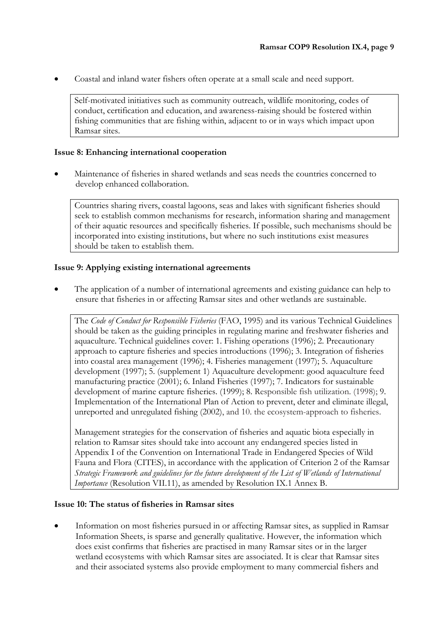• Coastal and inland water fishers often operate at a small scale and need support.

Self-motivated initiatives such as community outreach, wildlife monitoring, codes of conduct, certification and education, and awareness-raising should be fostered within fishing communities that are fishing within, adjacent to or in ways which impact upon Ramsar sites.

### **Issue 8: Enhancing international cooperation**

• Maintenance of fisheries in shared wetlands and seas needs the countries concerned to develop enhanced collaboration.

Countries sharing rivers, coastal lagoons, seas and lakes with significant fisheries should seek to establish common mechanisms for research, information sharing and management of their aquatic resources and specifically fisheries. If possible, such mechanisms should be incorporated into existing institutions, but where no such institutions exist measures should be taken to establish them.

### **Issue 9: Applying existing international agreements**

• The application of a number of international agreements and existing guidance can help to ensure that fisheries in or affecting Ramsar sites and other wetlands are sustainable.

The *Code of Conduct for Responsible Fisheries* (FAO, 1995) and its various Technical Guidelines should be taken as the guiding principles in regulating marine and freshwater fisheries and aquaculture. Technical guidelines cover: 1. Fishing operations (1996); 2. Precautionary approach to capture fisheries and species introductions (1996); 3. Integration of fisheries into coastal area management (1996); 4. Fisheries management (1997); 5. Aquaculture development (1997); 5. (supplement 1) Aquaculture development: good aquaculture feed manufacturing practice (2001); 6. Inland Fisheries (1997); 7. Indicators for sustainable development of marine capture fisheries. (1999); 8. Responsible fish utilization. (1998); 9. Implementation of the International Plan of Action to prevent, deter and eliminate illegal, unreported and unregulated fishing (2002), and 10. the ecosystem-approach to fisheries.

Management strategies for the conservation of fisheries and aquatic biota especially in relation to Ramsar sites should take into account any endangered species listed in Appendix I of the Convention on International Trade in Endangered Species of Wild Fauna and Flora (CITES), in accordance with the application of Criterion 2 of the Ramsar *Strategic Framework and guidelines for the future development of the List of Wetlands of International Importance* (Resolution VII.11), as amended by Resolution IX.1 Annex B.

#### **Issue 10: The status of fisheries in Ramsar sites**

• Information on most fisheries pursued in or affecting Ramsar sites, as supplied in Ramsar Information Sheets, is sparse and generally qualitative. However, the information which does exist confirms that fisheries are practised in many Ramsar sites or in the larger wetland ecosystems with which Ramsar sites are associated. It is clear that Ramsar sites and their associated systems also provide employment to many commercial fishers and